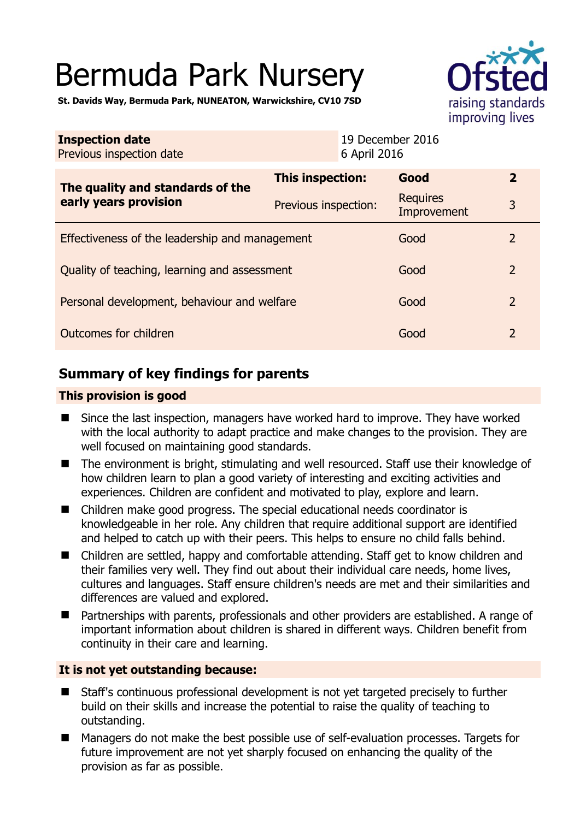# Bermuda Park Nursery



**St. Davids Way, Bermuda Park, NUNEATON, Warwickshire, CV10 7SD** 

| <b>Inspection date</b><br>Previous inspection date        | 19 December 2016<br>6 April 2016 |                         |                |
|-----------------------------------------------------------|----------------------------------|-------------------------|----------------|
| The quality and standards of the<br>early years provision | This inspection:                 | Good                    | $\overline{2}$ |
|                                                           | Previous inspection:             | Requires<br>Improvement | 3              |
| Effectiveness of the leadership and management            |                                  | Good                    | 2              |
| Quality of teaching, learning and assessment              |                                  | Good                    | $\overline{2}$ |
| Personal development, behaviour and welfare               |                                  | Good                    | $\overline{2}$ |
| Outcomes for children                                     |                                  | Good                    | $\overline{2}$ |

## **Summary of key findings for parents**

#### **This provision is good**

- Since the last inspection, managers have worked hard to improve. They have worked with the local authority to adapt practice and make changes to the provision. They are well focused on maintaining good standards.
- The environment is bright, stimulating and well resourced. Staff use their knowledge of how children learn to plan a good variety of interesting and exciting activities and experiences. Children are confident and motivated to play, explore and learn.
- Children make good progress. The special educational needs coordinator is knowledgeable in her role. Any children that require additional support are identified and helped to catch up with their peers. This helps to ensure no child falls behind.
- Children are settled, happy and comfortable attending. Staff get to know children and their families very well. They find out about their individual care needs, home lives, cultures and languages. Staff ensure children's needs are met and their similarities and differences are valued and explored.
- Partnerships with parents, professionals and other providers are established. A range of important information about children is shared in different ways. Children benefit from continuity in their care and learning.

#### **It is not yet outstanding because:**

- Staff's continuous professional development is not yet targeted precisely to further build on their skills and increase the potential to raise the quality of teaching to outstanding.
- Managers do not make the best possible use of self-evaluation processes. Targets for future improvement are not yet sharply focused on enhancing the quality of the provision as far as possible.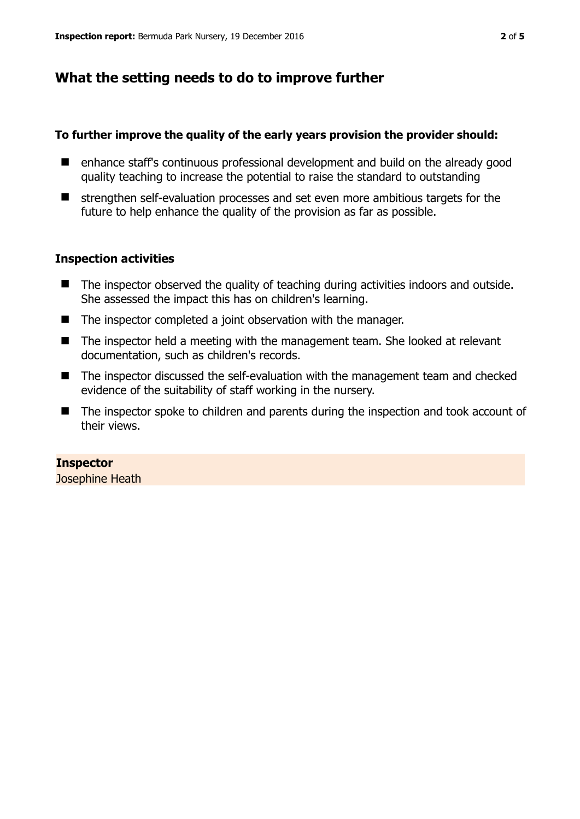## **What the setting needs to do to improve further**

#### **To further improve the quality of the early years provision the provider should:**

- enhance staff's continuous professional development and build on the already good quality teaching to increase the potential to raise the standard to outstanding
- $\blacksquare$  strengthen self-evaluation processes and set even more ambitious targets for the future to help enhance the quality of the provision as far as possible.

#### **Inspection activities**

- The inspector observed the quality of teaching during activities indoors and outside. She assessed the impact this has on children's learning.
- The inspector completed a joint observation with the manager.
- The inspector held a meeting with the management team. She looked at relevant documentation, such as children's records.
- The inspector discussed the self-evaluation with the management team and checked evidence of the suitability of staff working in the nursery.
- The inspector spoke to children and parents during the inspection and took account of their views.

#### **Inspector**  Josephine Heath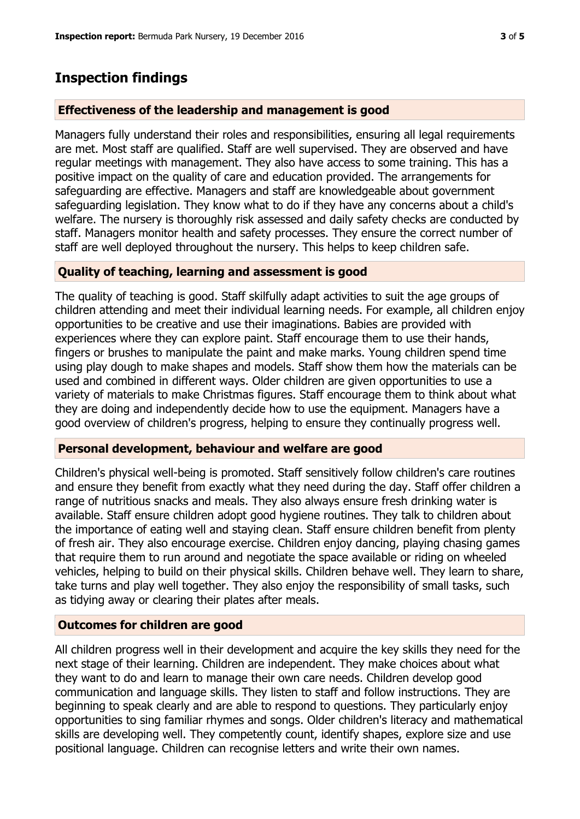### **Inspection findings**

#### **Effectiveness of the leadership and management is good**

Managers fully understand their roles and responsibilities, ensuring all legal requirements are met. Most staff are qualified. Staff are well supervised. They are observed and have regular meetings with management. They also have access to some training. This has a positive impact on the quality of care and education provided. The arrangements for safeguarding are effective. Managers and staff are knowledgeable about government safeguarding legislation. They know what to do if they have any concerns about a child's welfare. The nursery is thoroughly risk assessed and daily safety checks are conducted by staff. Managers monitor health and safety processes. They ensure the correct number of staff are well deployed throughout the nursery. This helps to keep children safe.

#### **Quality of teaching, learning and assessment is good**

The quality of teaching is good. Staff skilfully adapt activities to suit the age groups of children attending and meet their individual learning needs. For example, all children enjoy opportunities to be creative and use their imaginations. Babies are provided with experiences where they can explore paint. Staff encourage them to use their hands, fingers or brushes to manipulate the paint and make marks. Young children spend time using play dough to make shapes and models. Staff show them how the materials can be used and combined in different ways. Older children are given opportunities to use a variety of materials to make Christmas figures. Staff encourage them to think about what they are doing and independently decide how to use the equipment. Managers have a good overview of children's progress, helping to ensure they continually progress well.

#### **Personal development, behaviour and welfare are good**

Children's physical well-being is promoted. Staff sensitively follow children's care routines and ensure they benefit from exactly what they need during the day. Staff offer children a range of nutritious snacks and meals. They also always ensure fresh drinking water is available. Staff ensure children adopt good hygiene routines. They talk to children about the importance of eating well and staying clean. Staff ensure children benefit from plenty of fresh air. They also encourage exercise. Children enjoy dancing, playing chasing games that require them to run around and negotiate the space available or riding on wheeled vehicles, helping to build on their physical skills. Children behave well. They learn to share, take turns and play well together. They also enjoy the responsibility of small tasks, such as tidying away or clearing their plates after meals.

#### **Outcomes for children are good**

All children progress well in their development and acquire the key skills they need for the next stage of their learning. Children are independent. They make choices about what they want to do and learn to manage their own care needs. Children develop good communication and language skills. They listen to staff and follow instructions. They are beginning to speak clearly and are able to respond to questions. They particularly enjoy opportunities to sing familiar rhymes and songs. Older children's literacy and mathematical skills are developing well. They competently count, identify shapes, explore size and use positional language. Children can recognise letters and write their own names.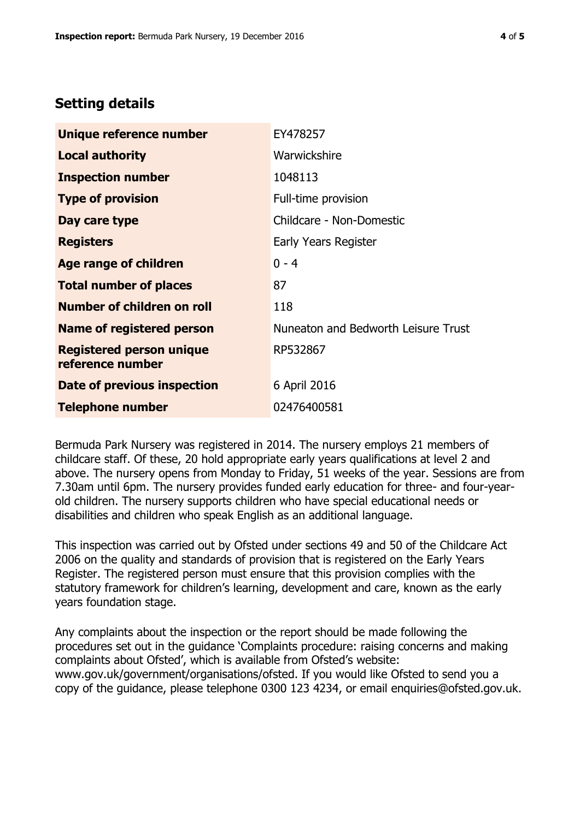## **Setting details**

| Unique reference number                             | EY478257                            |
|-----------------------------------------------------|-------------------------------------|
| <b>Local authority</b>                              | Warwickshire                        |
| <b>Inspection number</b>                            | 1048113                             |
| <b>Type of provision</b>                            | Full-time provision                 |
| Day care type                                       | Childcare - Non-Domestic            |
| <b>Registers</b>                                    | Early Years Register                |
| Age range of children                               | $0 - 4$                             |
| <b>Total number of places</b>                       | 87                                  |
| Number of children on roll                          | 118                                 |
| <b>Name of registered person</b>                    | Nuneaton and Bedworth Leisure Trust |
| <b>Registered person unique</b><br>reference number | RP532867                            |
| Date of previous inspection                         | 6 April 2016                        |
| <b>Telephone number</b>                             | 02476400581                         |

Bermuda Park Nursery was registered in 2014. The nursery employs 21 members of childcare staff. Of these, 20 hold appropriate early years qualifications at level 2 and above. The nursery opens from Monday to Friday, 51 weeks of the year. Sessions are from 7.30am until 6pm. The nursery provides funded early education for three- and four-yearold children. The nursery supports children who have special educational needs or disabilities and children who speak English as an additional language.

This inspection was carried out by Ofsted under sections 49 and 50 of the Childcare Act 2006 on the quality and standards of provision that is registered on the Early Years Register. The registered person must ensure that this provision complies with the statutory framework for children's learning, development and care, known as the early years foundation stage.

Any complaints about the inspection or the report should be made following the procedures set out in the guidance 'Complaints procedure: raising concerns and making complaints about Ofsted', which is available from Ofsted's website: www.gov.uk/government/organisations/ofsted. If you would like Ofsted to send you a copy of the guidance, please telephone 0300 123 4234, or email enquiries@ofsted.gov.uk.